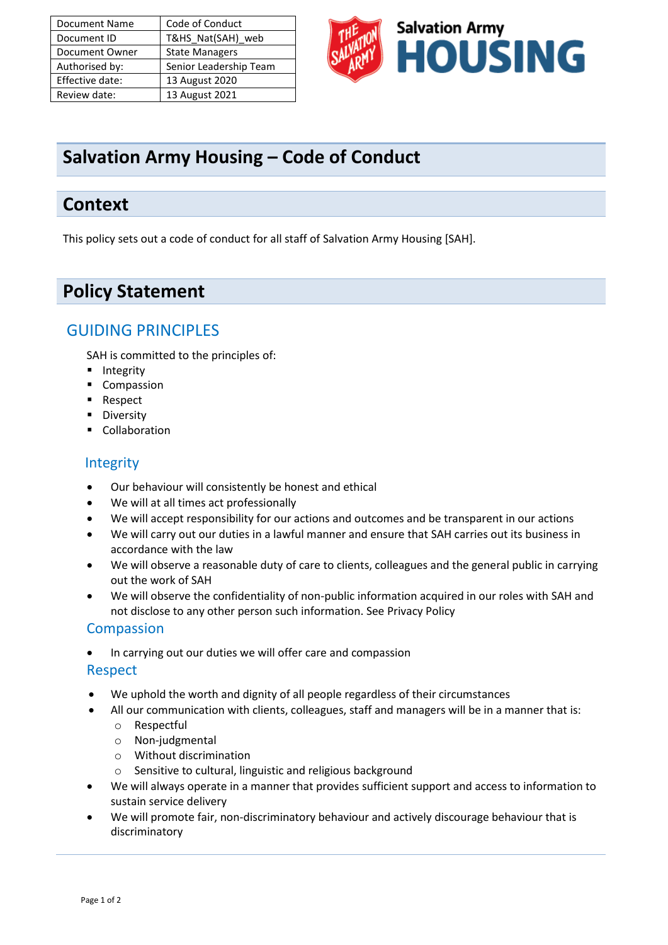| <b>Document Name</b> | Code of Conduct        |
|----------------------|------------------------|
| Document ID          | T&HS Nat(SAH) web      |
| Document Owner       | <b>State Managers</b>  |
| Authorised by:       | Senior Leadership Team |
| Effective date:      | 13 August 2020         |
| Review date:         | 13 August 2021         |



# **Salvation Army Housing – Code of Conduct**

### **Context**

This policy sets out a code of conduct for all staff of Salvation Army Housing [SAH].

# **Policy Statement**

### GUIDING PRINCIPLES

SAH is committed to the principles of:

- Integrity
- Compassion
- Respect
- Diversity
- Collaboration

#### Integrity

- Our behaviour will consistently be honest and ethical
- We will at all times act professionally
- We will accept responsibility for our actions and outcomes and be transparent in our actions
- We will carry out our duties in a lawful manner and ensure that SAH carries out its business in accordance with the law
- We will observe a reasonable duty of care to clients, colleagues and the general public in carrying out the work of SAH
- We will observe the confidentiality of non-public information acquired in our roles with SAH and not disclose to any other person such information. See Privacy Policy

#### Compassion

• In carrying out our duties we will offer care and compassion

#### Respect

- We uphold the worth and dignity of all people regardless of their circumstances
- All our communication with clients, colleagues, staff and managers will be in a manner that is:
	- o Respectful
	- o Non-judgmental
	- o Without discrimination
	- o Sensitive to cultural, linguistic and religious background
- We will always operate in a manner that provides sufficient support and access to information to sustain service delivery
- We will promote fair, non-discriminatory behaviour and actively discourage behaviour that is discriminatory